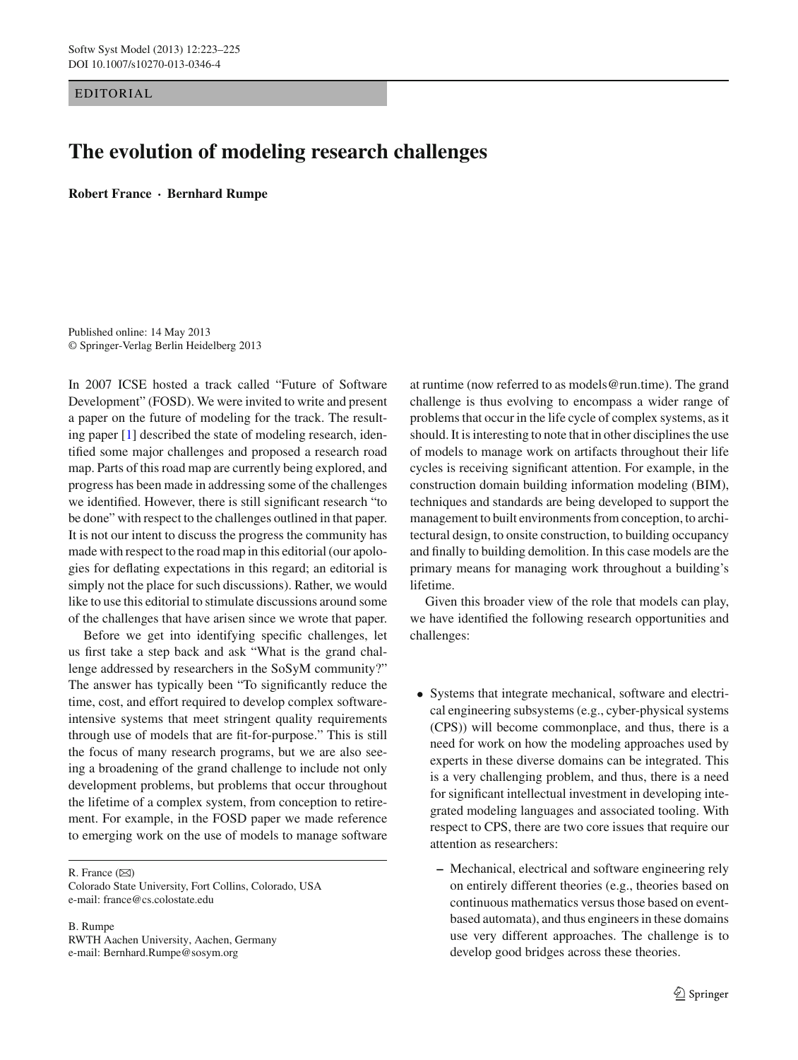EDITORIAL

## **The evolution of modeling research challenges**

**Robert France · Bernhard Rumpe**

Published online: 14 May 2013 © Springer-Verlag Berlin Heidelberg 2013

In 2007 ICSE hosted a track called "Future of Software Development" (FOSD). We were invited to write and present a paper on the future of modeling for the track. The resulting paper [\[1\]](#page-2-0) described the state of modeling research, identified some major challenges and proposed a research road map. Parts of this road map are currently being explored, and progress has been made in addressing some of the challenges we identified. However, there is still significant research "to be done" with respect to the challenges outlined in that paper. It is not our intent to discuss the progress the community has made with respect to the road map in this editorial (our apologies for deflating expectations in this regard; an editorial is simply not the place for such discussions). Rather, we would like to use this editorial to stimulate discussions around some of the challenges that have arisen since we wrote that paper.

Before we get into identifying specific challenges, let us first take a step back and ask "What is the grand challenge addressed by researchers in the SoSyM community?" The answer has typically been "To significantly reduce the time, cost, and effort required to develop complex softwareintensive systems that meet stringent quality requirements through use of models that are fit-for-purpose." This is still the focus of many research programs, but we are also seeing a broadening of the grand challenge to include not only development problems, but problems that occur throughout the lifetime of a complex system, from conception to retirement. For example, in the FOSD paper we made reference to emerging work on the use of models to manage software

R. France  $(\boxtimes)$ 

Colorado State University, Fort Collins, Colorado, USA e-mail: france@cs.colostate.edu

B. Rumpe

RWTH Aachen University, Aachen, Germany e-mail: Bernhard.Rumpe@sosym.org

at runtime (now referred to as models@run.time). The grand challenge is thus evolving to encompass a wider range of problems that occur in the life cycle of complex systems, as it should. It is interesting to note that in other disciplines the use of models to manage work on artifacts throughout their life cycles is receiving significant attention. For example, in the construction domain building information modeling (BIM), techniques and standards are being developed to support the management to built environments from conception, to architectural design, to onsite construction, to building occupancy and finally to building demolition. In this case models are the primary means for managing work throughout a building's lifetime.

Given this broader view of the role that models can play, we have identified the following research opportunities and challenges:

- Systems that integrate mechanical, software and electrical engineering subsystems (e.g., cyber-physical systems (CPS)) will become commonplace, and thus, there is a need for work on how the modeling approaches used by experts in these diverse domains can be integrated. This is a very challenging problem, and thus, there is a need for significant intellectual investment in developing integrated modeling languages and associated tooling. With respect to CPS, there are two core issues that require our attention as researchers:
	- **–** Mechanical, electrical and software engineering rely on entirely different theories (e.g., theories based on continuous mathematics versus those based on eventbased automata), and thus engineers in these domains use very different approaches. The challenge is to develop good bridges across these theories.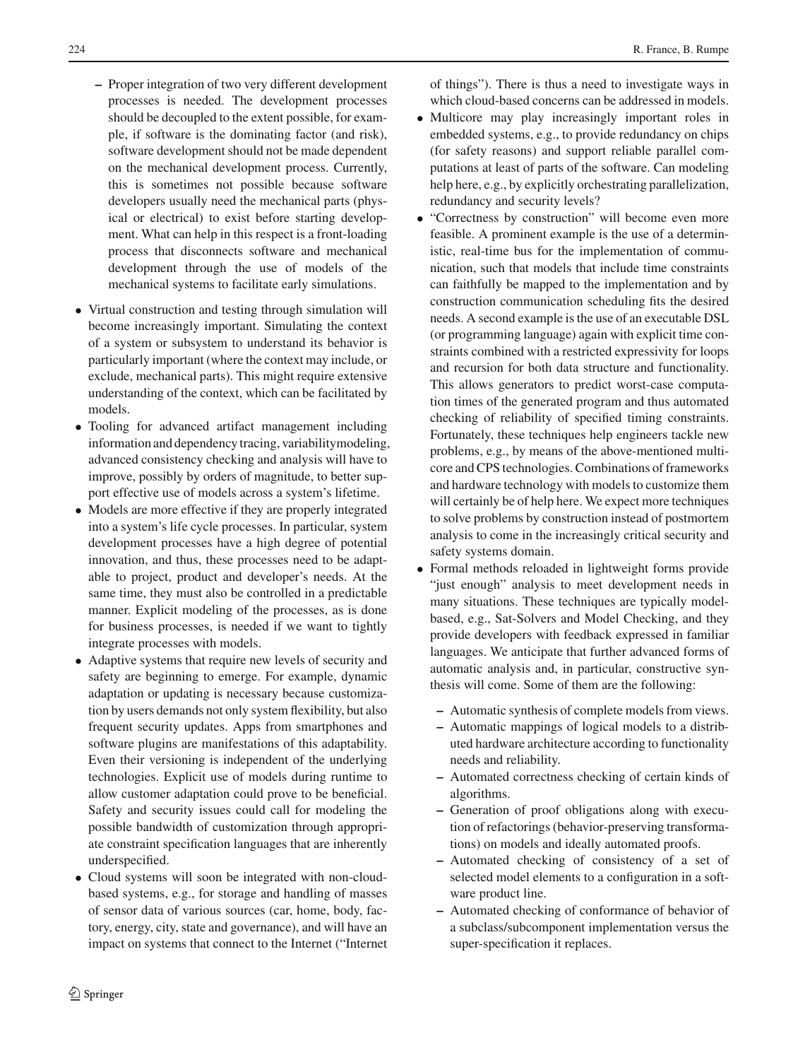- **–** Proper integration of two very different development processes is needed. The development processes should be decoupled to the extent possible, for example, if software is the dominating factor (and risk), software development should not be made dependent on the mechanical development process. Currently, this is sometimes not possible because software developers usually need the mechanical parts (physical or electrical) to exist before starting development. What can help in this respect is a front-loading process that disconnects software and mechanical development through the use of models of the mechanical systems to facilitate early simulations.
- Virtual construction and testing through simulation will become increasingly important. Simulating the context of a system or subsystem to understand its behavior is particularly important (where the context may include, or exclude, mechanical parts). This might require extensive understanding of the context, which can be facilitated by models.
- Tooling for advanced artifact management including information and dependency tracing, variabilitymodeling, advanced consistency checking and analysis will have to improve, possibly by orders of magnitude, to better support effective use of models across a system's lifetime.
- Models are more effective if they are properly integrated into a system's life cycle processes. In particular, system development processes have a high degree of potential innovation, and thus, these processes need to be adaptable to project, product and developer's needs. At the same time, they must also be controlled in a predictable manner. Explicit modeling of the processes, as is done for business processes, is needed if we want to tightly integrate processes with models.
- Adaptive systems that require new levels of security and safety are beginning to emerge. For example, dynamic adaptation or updating is necessary because customization by users demands not only system flexibility, but also frequent security updates. Apps from smartphones and software plugins are manifestations of this adaptability. Even their versioning is independent of the underlying technologies. Explicit use of models during runtime to allow customer adaptation could prove to be beneficial. Safety and security issues could call for modeling the possible bandwidth of customization through appropriate constraint specification languages that are inherently underspecified.
- Cloud systems will soon be integrated with non-cloudbased systems, e.g., for storage and handling of masses of sensor data of various sources (car, home, body, factory, energy, city, state and governance), and will have an impact on systems that connect to the Internet ("Internet

of things"). There is thus a need to investigate ways in which cloud-based concerns can be addressed in models.

- Multicore may play increasingly important roles in embedded systems, e.g., to provide redundancy on chips (for safety reasons) and support reliable parallel computations at least of parts of the software. Can modeling help here, e.g., by explicitly orchestrating parallelization, redundancy and security levels?
- "Correctness by construction" will become even more feasible. A prominent example is the use of a deterministic, real-time bus for the implementation of communication, such that models that include time constraints can faithfully be mapped to the implementation and by construction communication scheduling fits the desired needs. A second example is the use of an executable DSL (or programming language) again with explicit time constraints combined with a restricted expressivity for loops and recursion for both data structure and functionality. This allows generators to predict worst-case computation times of the generated program and thus automated checking of reliability of specified timing constraints. Fortunately, these techniques help engineers tackle new problems, e.g., by means of the above-mentioned multicore and CPS technologies. Combinations of frameworks and hardware technology with models to customize them will certainly be of help here. We expect more techniques to solve problems by construction instead of postmortem analysis to come in the increasingly critical security and safety systems domain.
- Formal methods reloaded in lightweight forms provide "just enough" analysis to meet development needs in many situations. These techniques are typically modelbased, e.g., Sat-Solvers and Model Checking, and they provide developers with feedback expressed in familiar languages. We anticipate that further advanced forms of automatic analysis and, in particular, constructive synthesis will come. Some of them are the following:
	- **–** Automatic synthesis of complete models from views.
	- **–** Automatic mappings of logical models to a distributed hardware architecture according to functionality needs and reliability.
	- **–** Automated correctness checking of certain kinds of algorithms.
	- **–** Generation of proof obligations along with execution of refactorings (behavior-preserving transformations) on models and ideally automated proofs.
	- **–** Automated checking of consistency of a set of selected model elements to a configuration in a software product line.
	- **–** Automated checking of conformance of behavior of a subclass/subcomponent implementation versus the super-specification it replaces.